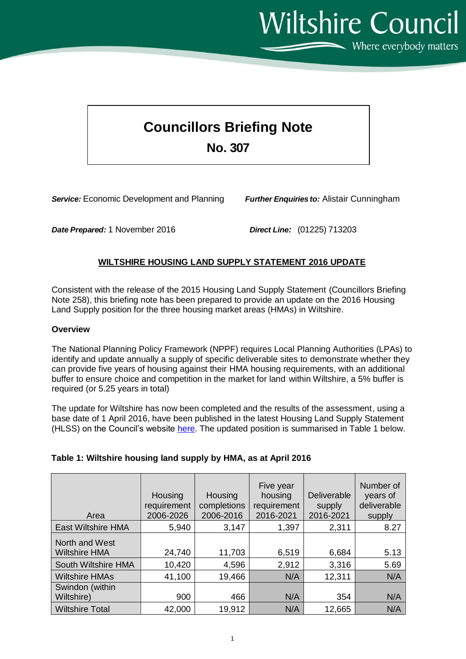**Wiltshire Council** 

Where everybody matters

## **Councillors Briefing Note No. 307**

*Service:* Economic Development and Planning *Further Enquiries to:* Alistair Cunningham

*Date Prepared:* 1 November 2016 *Direct Line:* (01225) 713203

## **WILTSHIRE HOUSING LAND SUPPLY STATEMENT 2016 UPDATE**

Consistent with the release of the 2015 Housing Land Supply Statement (Councillors Briefing Note 258), this briefing note has been prepared to provide an update on the 2016 Housing Land Supply position for the three housing market areas (HMAs) in Wiltshire.

## **Overview**

The National Planning Policy Framework (NPPF) requires Local Planning Authorities (LPAs) to identify and update annually a supply of specific deliverable sites to demonstrate whether they can provide five years of housing against their HMA housing requirements, with an additional buffer to ensure choice and competition in the market for land within Wiltshire, a 5% buffer is required (or 5.25 years in total)

The update for Wiltshire has now been completed and the results of the assessment, using a base date of 1 April 2016, have been published in the latest Housing Land Supply Statement (HLSS) on the Council's website [here.](http://www.wiltshire.gov.uk/planninganddevelopment/planningpolicy/annualmonitoringreport.htm) The updated position is summarised in Table 1 below.

## **Table 1: Wiltshire housing land supply by HMA, as at April 2016**

| Area                                   | Housing<br>requirement<br>2006-2026 | Housing<br>completions<br>2006-2016 | Five year<br>housing<br>requirement<br>2016-2021 | <b>Deliverable</b><br>supply<br>2016-2021 | Number of<br>years of<br>deliverable<br>supply |
|----------------------------------------|-------------------------------------|-------------------------------------|--------------------------------------------------|-------------------------------------------|------------------------------------------------|
| <b>East Wiltshire HMA</b>              | 5,940                               | 3,147                               | 1,397                                            | 2,311                                     | 8.27                                           |
| North and West<br><b>Wiltshire HMA</b> | 24,740                              | 11,703                              | 6,519                                            | 6,684                                     | 5.13                                           |
| South Wiltshire HMA                    | 10,420                              | 4,596                               | 2,912                                            | 3,316                                     | 5.69                                           |
| <b>Wiltshire HMAs</b>                  | 41,100                              | 19,466                              | N/A                                              | 12,311                                    | N/A                                            |
| Swindon (within<br>Wiltshire)          | 900                                 | 466                                 | N/A                                              | 354                                       | N/A                                            |
| <b>Wiltshire Total</b>                 | 42,000                              | 19,912                              | N/A                                              | 12,665                                    | N/A                                            |